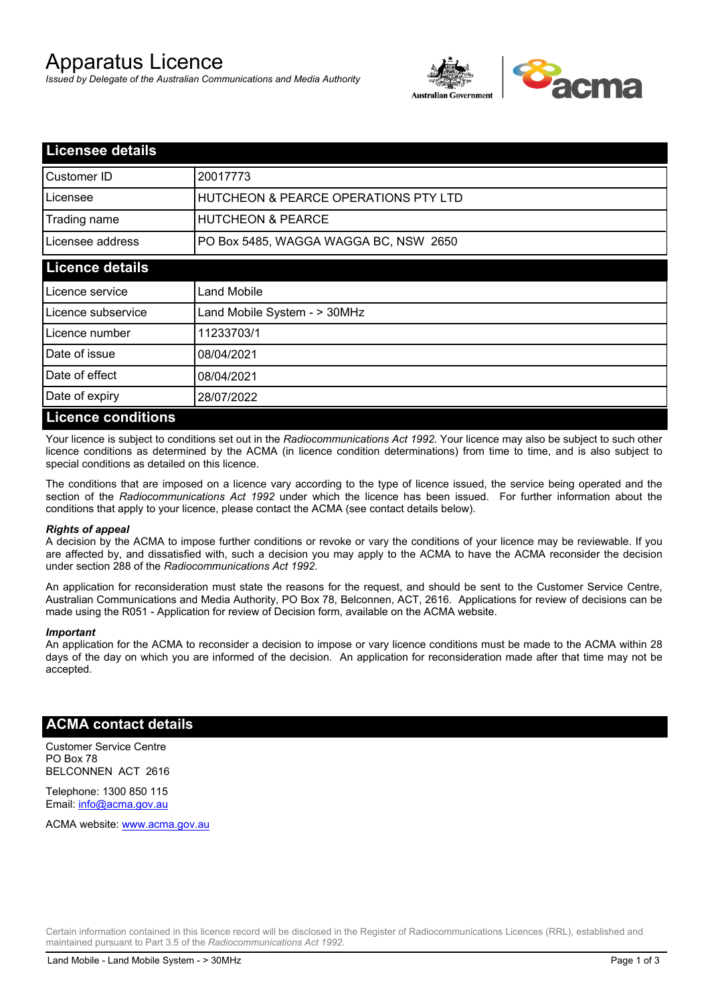# Apparatus Licence

*Issued by Delegate of the Australian Communications and Media Authority*



| <b>Licensee details</b>   |                                                 |  |
|---------------------------|-------------------------------------------------|--|
| Customer ID               | 20017773                                        |  |
| Licensee                  | <b>HUTCHEON &amp; PEARCE OPERATIONS PTY LTD</b> |  |
| Trading name              | <b>HUTCHEON &amp; PEARCE</b>                    |  |
| Licensee address          | PO Box 5485, WAGGA WAGGA BC, NSW 2650           |  |
| <b>Licence details</b>    |                                                 |  |
| Licence service           | Land Mobile                                     |  |
| Licence subservice        | Land Mobile System - > 30MHz                    |  |
| Licence number            | 11233703/1                                      |  |
| Date of issue             | 08/04/2021                                      |  |
| Date of effect            | 08/04/2021                                      |  |
| Date of expiry            | 28/07/2022                                      |  |
| <b>Licence conditions</b> |                                                 |  |

Your licence is subject to conditions set out in the *Radiocommunications Act 1992*. Your licence may also be subject to such other licence conditions as determined by the ACMA (in licence condition determinations) from time to time, and is also subject to special conditions as detailed on this licence.

The conditions that are imposed on a licence vary according to the type of licence issued, the service being operated and the section of the *Radiocommunications Act 1992* under which the licence has been issued. For further information about the conditions that apply to your licence, please contact the ACMA (see contact details below).

#### *Rights of appeal*

A decision by the ACMA to impose further conditions or revoke or vary the conditions of your licence may be reviewable. If you are affected by, and dissatisfied with, such a decision you may apply to the ACMA to have the ACMA reconsider the decision under section 288 of the *Radiocommunications Act 1992*.

An application for reconsideration must state the reasons for the request, and should be sent to the Customer Service Centre, Australian Communications and Media Authority, PO Box 78, Belconnen, ACT, 2616. Applications for review of decisions can be made using the R051 - Application for review of Decision form, available on the ACMA website.

#### *Important*

An application for the ACMA to reconsider a decision to impose or vary licence conditions must be made to the ACMA within 28 days of the day on which you are informed of the decision. An application for reconsideration made after that time may not be accepted.

### **ACMA contact details**

Customer Service Centre PO Box 78 BELCONNEN ACT 2616

Telephone: 1300 850 115 Email: info@acma.gov.au

ACMA website: www.acma.gov.au

Certain information contained in this licence record will be disclosed in the Register of Radiocommunications Licences (RRL), established and maintained pursuant to Part 3.5 of the *Radiocommunications Act 1992.*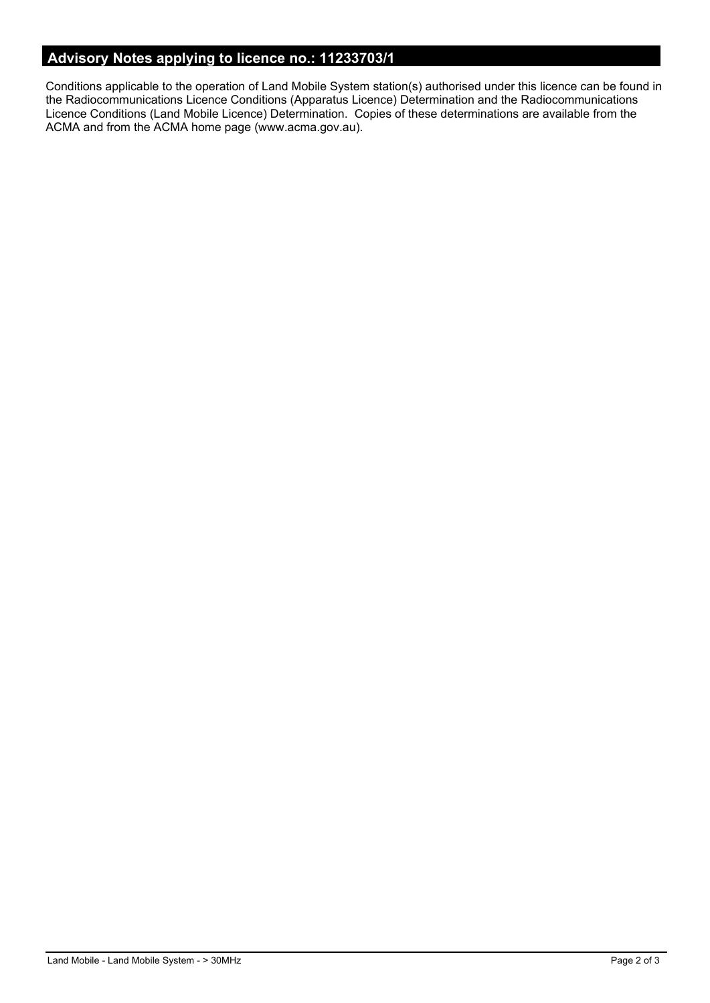# **Advisory Notes applying to licence no.: 11233703/1**

Conditions applicable to the operation of Land Mobile System station(s) authorised under this licence can be found in the Radiocommunications Licence Conditions (Apparatus Licence) Determination and the Radiocommunications Licence Conditions (Land Mobile Licence) Determination. Copies of these determinations are available from the ACMA and from the ACMA home page (www.acma.gov.au).